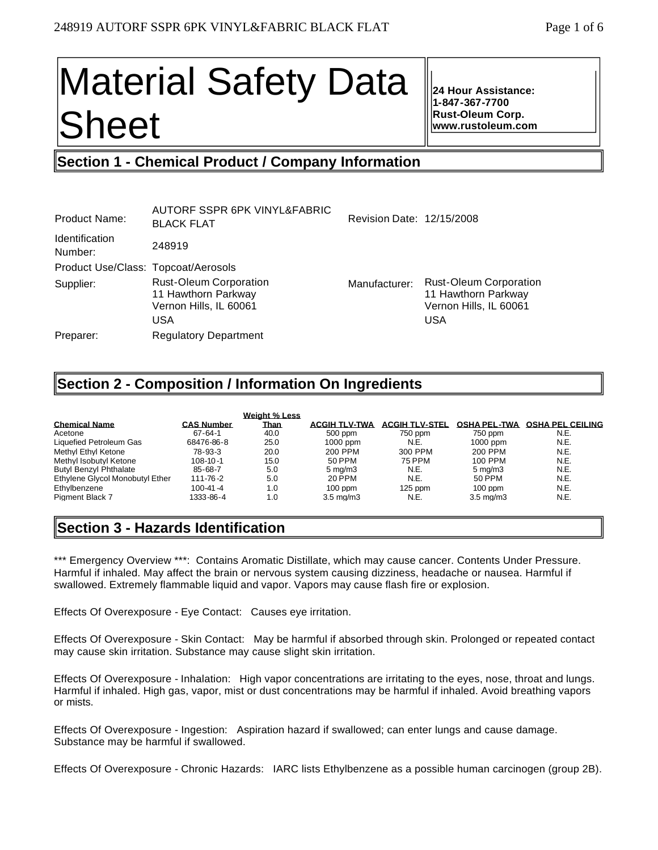# Material Safety Data Sheet

**24 Hour Assistance: 1-847-367-7700 Rust-Oleum Corp. www.rustoleum.com** 

# **Section 1 - Chemical Product / Company Information**

| <b>Product Name:</b>                | AUTORF SSPR 6PK VINYL&FABRIC<br><b>BLACK FLAT</b>                                     | Revision Date: 12/15/2008 |                                                                                              |
|-------------------------------------|---------------------------------------------------------------------------------------|---------------------------|----------------------------------------------------------------------------------------------|
| <b>Identification</b><br>Number:    | 248919                                                                                |                           |                                                                                              |
| Product Use/Class: Topcoat/Aerosols |                                                                                       |                           |                                                                                              |
| Supplier:                           | <b>Rust-Oleum Corporation</b><br>11 Hawthorn Parkway<br>Vernon Hills, IL 60061<br>USA | Manufacturer:             | <b>Rust-Oleum Corporation</b><br>11 Hawthorn Parkway<br>Vernon Hills, IL 60061<br><b>USA</b> |
| Preparer:                           | <b>Regulatory Department</b>                                                          |                           |                                                                                              |
|                                     |                                                                                       |                           |                                                                                              |

## **Section 2 - Composition / Information On Ingredients**

|                                 |                   | Weight % Less |                      |                       |                      |                         |
|---------------------------------|-------------------|---------------|----------------------|-----------------------|----------------------|-------------------------|
| <b>Chemical Name</b>            | <b>CAS Number</b> | <b>Than</b>   | <b>ACGIH TLV-TWA</b> | <b>ACGIH TLV-STEL</b> | <b>OSHA PEL-TWA</b>  | <b>OSHA PEL CEILING</b> |
| Acetone                         | $67 - 64 - 1$     | 40.0          | 500 ppm              | 750 ppm               | 750 ppm              | N.E.                    |
| Liquefied Petroleum Gas         | 68476-86-8        | 25.0          | 1000 ppm             | N.E.                  | 1000 ppm             | N.E.                    |
| Methyl Ethyl Ketone             | 78-93-3           | 20.0          | 200 PPM              | 300 PPM               | 200 PPM              | N.E.                    |
| Methyl Isobutyl Ketone          | $108 - 10 - 1$    | 15.0          | 50 PPM               | 75 PPM                | 100 PPM              | N.E.                    |
| <b>Butyl Benzyl Phthalate</b>   | 85-68-7           | 5.0           | $5 \text{ ma/m}$ 3   | N.E.                  | $5 \text{ ma/m}$ 3   | N.E.                    |
| Ethylene Glycol Monobutyl Ether | 111-76-2          | 5.0           | 20 PPM               | N.E.                  | 50 PPM               | N.E.                    |
| Ethylbenzene                    | $100 - 41 - 4$    | 1.0           | $100$ ppm            | $125$ ppm             | $100$ ppm            | N.E.                    |
| <b>Pigment Black 7</b>          | 1333-86-4         | 1.0           | $3.5 \text{ ma/m}$ 3 | N.E.                  | $3.5 \text{ ma/m}$ 3 | N.E.                    |

# **Section 3 - Hazards Identification**

\*\*\* Emergency Overview \*\*\*: Contains Aromatic Distillate, which may cause cancer. Contents Under Pressure. Harmful if inhaled. May affect the brain or nervous system causing dizziness, headache or nausea. Harmful if swallowed. Extremely flammable liquid and vapor. Vapors may cause flash fire or explosion.

Effects Of Overexposure - Eye Contact: Causes eye irritation.

Effects Of Overexposure - Skin Contact: May be harmful if absorbed through skin. Prolonged or repeated contact may cause skin irritation. Substance may cause slight skin irritation.

Effects Of Overexposure - Inhalation: High vapor concentrations are irritating to the eyes, nose, throat and lungs. Harmful if inhaled. High gas, vapor, mist or dust concentrations may be harmful if inhaled. Avoid breathing vapors or mists.

Effects Of Overexposure - Ingestion: Aspiration hazard if swallowed; can enter lungs and cause damage. Substance may be harmful if swallowed.

Effects Of Overexposure - Chronic Hazards: IARC lists Ethylbenzene as a possible human carcinogen (group 2B).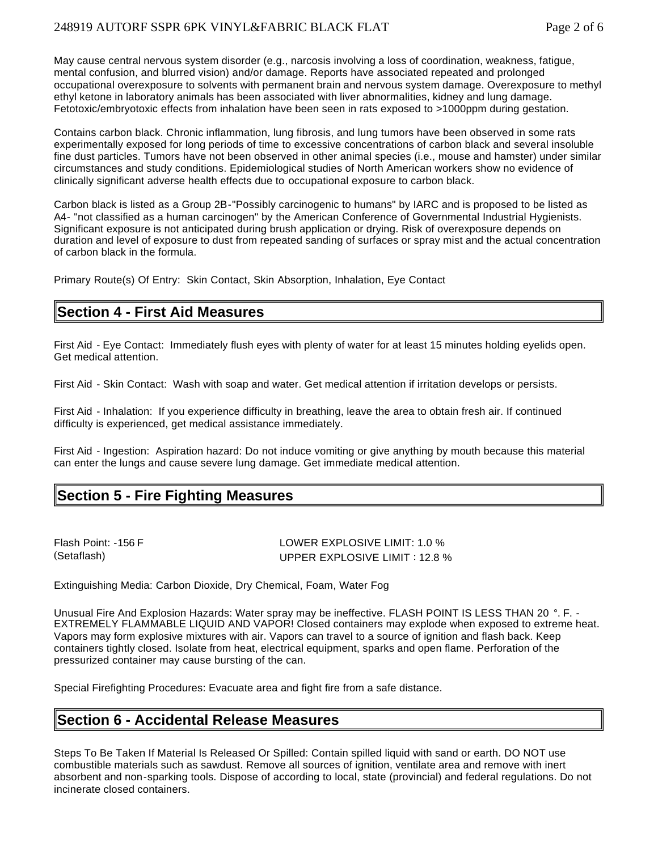May cause central nervous system disorder (e.g., narcosis involving a loss of coordination, weakness, fatigue, mental confusion, and blurred vision) and/or damage. Reports have associated repeated and prolonged occupational overexposure to solvents with permanent brain and nervous system damage. Overexposure to methyl ethyl ketone in laboratory animals has been associated with liver abnormalities, kidney and lung damage. Fetotoxic/embryotoxic effects from inhalation have been seen in rats exposed to >1000ppm during gestation.

Contains carbon black. Chronic inflammation, lung fibrosis, and lung tumors have been observed in some rats experimentally exposed for long periods of time to excessive concentrations of carbon black and several insoluble fine dust particles. Tumors have not been observed in other animal species (i.e., mouse and hamster) under similar circumstances and study conditions. Epidemiological studies of North American workers show no evidence of clinically significant adverse health effects due to occupational exposure to carbon black.

Carbon black is listed as a Group 2B-"Possibly carcinogenic to humans" by IARC and is proposed to be listed as A4- "not classified as a human carcinogen" by the American Conference of Governmental Industrial Hygienists. Significant exposure is not anticipated during brush application or drying. Risk of overexposure depends on duration and level of exposure to dust from repeated sanding of surfaces or spray mist and the actual concentration of carbon black in the formula.

Primary Route(s) Of Entry: Skin Contact, Skin Absorption, Inhalation, Eye Contact

## **Section 4 - First Aid Measures**

First Aid - Eye Contact: Immediately flush eyes with plenty of water for at least 15 minutes holding eyelids open. Get medical attention.

First Aid - Skin Contact: Wash with soap and water. Get medical attention if irritation develops or persists.

First Aid - Inhalation: If you experience difficulty in breathing, leave the area to obtain fresh air. If continued difficulty is experienced, get medical assistance immediately.

First Aid - Ingestion: Aspiration hazard: Do not induce vomiting or give anything by mouth because this material can enter the lungs and cause severe lung damage. Get immediate medical attention.

## **Section 5 - Fire Fighting Measures**

Flash Point: -156 F LOWER EXPLOSIVE LIMIT: 1.0 % (Setaflash) UPPER EXPLOSIVE LIMIT : 12.8 %

Extinguishing Media: Carbon Dioxide, Dry Chemical, Foam, Water Fog

Unusual Fire And Explosion Hazards: Water spray may be ineffective. FLASH POINT IS LESS THAN 20 °. F. - EXTREMELY FLAMMABLE LIQUID AND VAPOR! Closed containers may explode when exposed to extreme heat. Vapors may form explosive mixtures with air. Vapors can travel to a source of ignition and flash back. Keep containers tightly closed. Isolate from heat, electrical equipment, sparks and open flame. Perforation of the pressurized container may cause bursting of the can.

Special Firefighting Procedures: Evacuate area and fight fire from a safe distance.

## **Section 6 - Accidental Release Measures**

Steps To Be Taken If Material Is Released Or Spilled: Contain spilled liquid with sand or earth. DO NOT use combustible materials such as sawdust. Remove all sources of ignition, ventilate area and remove with inert absorbent and non-sparking tools. Dispose of according to local, state (provincial) and federal regulations. Do not incinerate closed containers.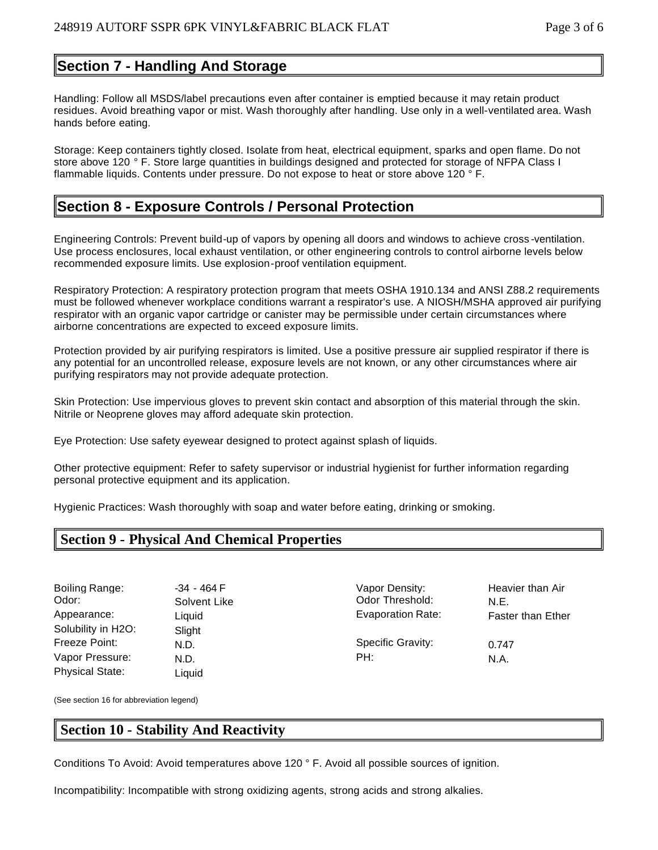## **Section 7 - Handling And Storage**

Handling: Follow all MSDS/label precautions even after container is emptied because it may retain product residues. Avoid breathing vapor or mist. Wash thoroughly after handling. Use only in a well-ventilated area. Wash hands before eating.

Storage: Keep containers tightly closed. Isolate from heat, electrical equipment, sparks and open flame. Do not store above 120 ° F. Store large quantities in buildings designed and protected for storage of NFPA Class I flammable liquids. Contents under pressure. Do not expose to heat or store above 120 ° F.

## **Section 8 - Exposure Controls / Personal Protection**

Engineering Controls: Prevent build-up of vapors by opening all doors and windows to achieve cross -ventilation. Use process enclosures, local exhaust ventilation, or other engineering controls to control airborne levels below recommended exposure limits. Use explosion-proof ventilation equipment.

Respiratory Protection: A respiratory protection program that meets OSHA 1910.134 and ANSI Z88.2 requirements must be followed whenever workplace conditions warrant a respirator's use. A NIOSH/MSHA approved air purifying respirator with an organic vapor cartridge or canister may be permissible under certain circumstances where airborne concentrations are expected to exceed exposure limits.

Protection provided by air purifying respirators is limited. Use a positive pressure air supplied respirator if there is any potential for an uncontrolled release, exposure levels are not known, or any other circumstances where air purifying respirators may not provide adequate protection.

Skin Protection: Use impervious gloves to prevent skin contact and absorption of this material through the skin. Nitrile or Neoprene gloves may afford adequate skin protection.

Eye Protection: Use safety eyewear designed to protect against splash of liquids.

Other protective equipment: Refer to safety supervisor or industrial hygienist for further information regarding personal protective equipment and its application.

Hygienic Practices: Wash thoroughly with soap and water before eating, drinking or smoking.

## **Section 9 - Physical And Chemical Properties**

Odor: Solvent Like Color Threshold: N.E. Solubility in H2O: Slight Freeze Point: N.D. N.D. Specific Gravity: 0.747 Vapor Pressure: N.D. N.A. PH: N.A. N.A. Physical State: Liquid

Boiling Range:  $-34 - 464$  F Vapor Density: Heavier than Air Appearance: Liquid Liquid Evaporation Rate: Faster than Ether

(See section 16 for abbreviation legend)

## **Section 10 - Stability And Reactivity**

Conditions To Avoid: Avoid temperatures above 120 ° F. Avoid all possible sources of ignition.

Incompatibility: Incompatible with strong oxidizing agents, strong acids and strong alkalies.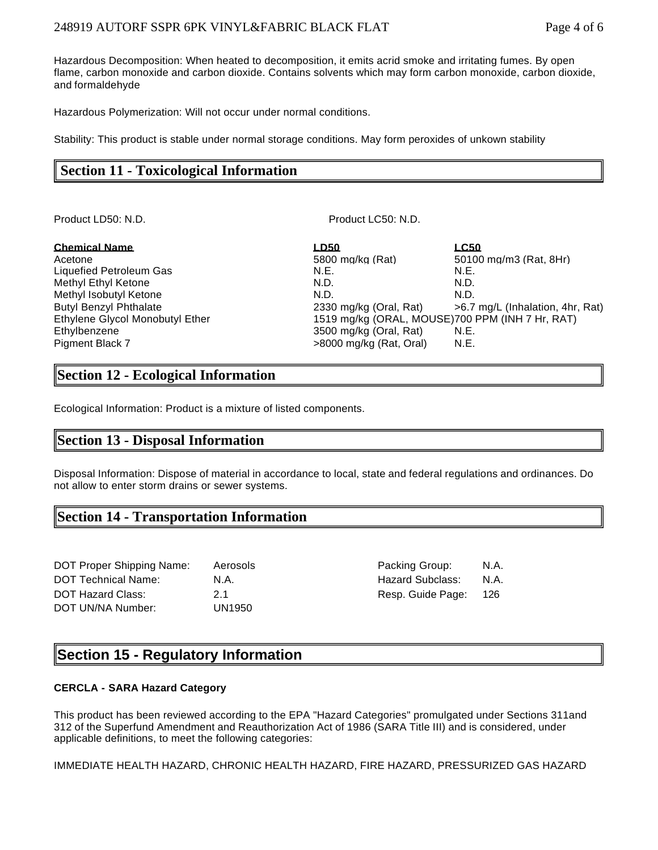#### 248919 AUTORF SSPR 6PK VINYL&FABRIC BLACK FLAT Page 4 of 6

Hazardous Decomposition: When heated to decomposition, it emits acrid smoke and irritating fumes. By open flame, carbon monoxide and carbon dioxide. Contains solvents which may form carbon monoxide, carbon dioxide, and formaldehyde

Hazardous Polymerization: Will not occur under normal conditions.

Stability: This product is stable under normal storage conditions. May form peroxides of unkown stability

## **Section 11 - Toxicological Information**

Product LD50: N.D. **Product LC50: N.D.** Product LC50: N.D.

| <b>Chemical Name</b>            | LD50                    | <u>LC50</u>                                     |
|---------------------------------|-------------------------|-------------------------------------------------|
| Acetone                         | 5800 mg/kg (Rat)        | 50100 mg/m3 (Rat. 8Hr)                          |
| Liquefied Petroleum Gas         | N.E.                    | N.E.                                            |
| Methyl Ethyl Ketone             | N.D.                    | N.D.                                            |
| Methyl Isobutyl Ketone          | N.D.                    | N.D.                                            |
| <b>Butyl Benzyl Phthalate</b>   | 2330 mg/kg (Oral, Rat)  | >6.7 mg/L (Inhalation, 4hr, Rat)                |
| Ethylene Glycol Monobutyl Ether |                         | 1519 mg/kg (ORAL, MOUSE)700 PPM (INH 7 Hr, RAT) |
| Ethylbenzene                    | 3500 mg/kg (Oral, Rat)  | N.E.                                            |
| <b>Pigment Black 7</b>          | >8000 mg/kg (Rat, Oral) | N.E.                                            |

## **Section 12 - Ecological Information**

Ecological Information: Product is a mixture of listed components.

### **Section 13 - Disposal Information**

Disposal Information: Dispose of material in accordance to local, state and federal regulations and ordinances. Do not allow to enter storm drains or sewer systems.

## **Section 14 - Transportation Information**

| DOT Proper Shipping Name:  | Aerosols |
|----------------------------|----------|
| <b>DOT Technical Name:</b> | N.A.     |
| DOT Hazard Class:          | 21       |
| DOT UN/NA Number:          | UN1950   |

Better Shipping Croup: A.A. Hazard Subclass: N.A. Resp. Guide Page: 126

## **Section 15 - Regulatory Information**

#### **CERCLA - SARA Hazard Category**

This product has been reviewed according to the EPA "Hazard Categories" promulgated under Sections 311and 312 of the Superfund Amendment and Reauthorization Act of 1986 (SARA Title III) and is considered, under applicable definitions, to meet the following categories:

IMMEDIATE HEALTH HAZARD, CHRONIC HEALTH HAZARD, FIRE HAZARD, PRESSURIZED GAS HAZARD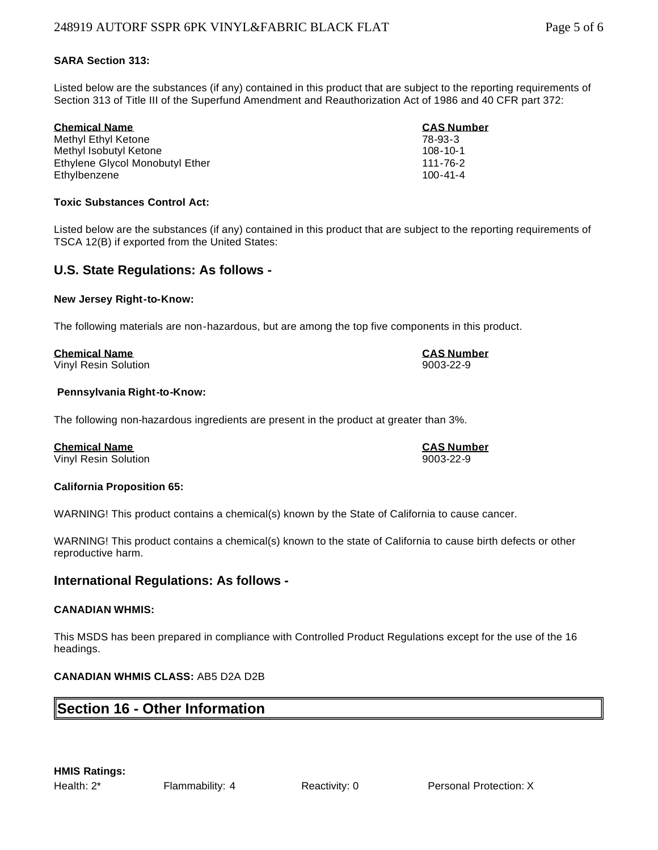#### **SARA Section 313:**

Listed below are the substances (if any) contained in this product that are subject to the reporting requirements of Section 313 of Title III of the Superfund Amendment and Reauthorization Act of 1986 and 40 CFR part 372:

| <b>Chemical Name</b>            | <b>CAS Number</b> |
|---------------------------------|-------------------|
| Methyl Ethyl Ketone             | 78-93-3           |
| Methyl Isobutyl Ketone          | $108 - 10 - 1$    |
| Ethylene Givcol Monobutyl Ether | 111-76-2          |
| Ethylbenzene                    | $100 - 41 - 4$    |

#### **Toxic Substances Control Act:**

Listed below are the substances (if any) contained in this product that are subject to the reporting requirements of TSCA 12(B) if exported from the United States:

#### **U.S. State Regulations: As follows -**

#### **New Jersey Right-to-Know:**

The following materials are non-hazardous, but are among the top five components in this product.

#### **Chemical Name CAS Number**

Vinyl Resin Solution 9003-22-9

#### **Pennsylvania Right-to-Know:**

The following non-hazardous ingredients are present in the product at greater than 3%.

#### **Chemical Name CAS Number**

Vinyl Resin Solution 9003-22-9

#### **California Proposition 65:**

WARNING! This product contains a chemical(s) known by the State of California to cause cancer.

WARNING! This product contains a chemical(s) known to the state of California to cause birth defects or other reproductive harm.

#### **International Regulations: As follows -**

#### **CANADIAN WHMIS:**

This MSDS has been prepared in compliance with Controlled Product Regulations except for the use of the 16 headings.

#### **CANADIAN WHMIS CLASS:** AB5 D2A D2B

## **Section 16 - Other Information**